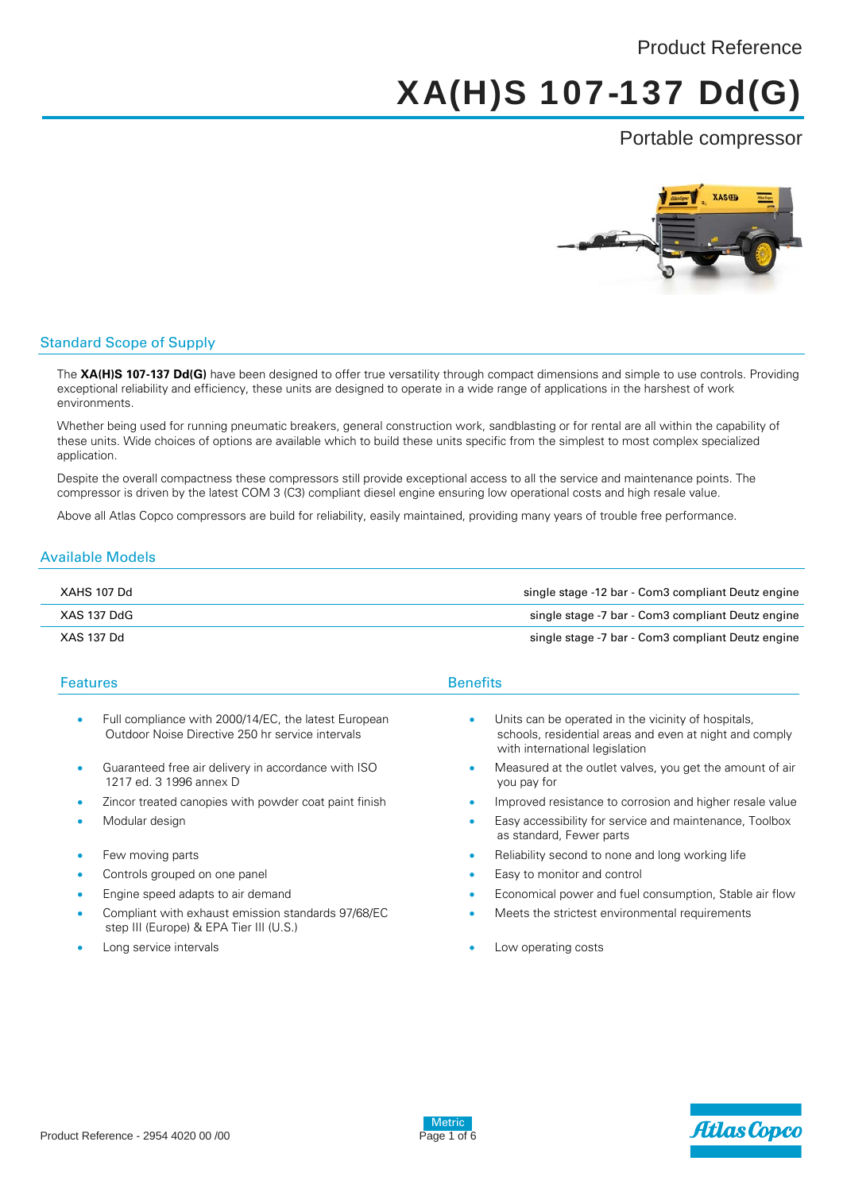## Product Reference

# XA(H)S 107-137 Dd(G)

## Portable compressor



## Standard Scope of Supply

The **XA(H)S 107-137 Dd(G)** have been designed to offer true versatility through compact dimensions and simple to use controls. Providing exceptional reliability and efficiency, these units are designed to operate in a wide range of applications in the harshest of work environments.

Whether being used for running pneumatic breakers, general construction work, sandblasting or for rental are all within the capability of these units. Wide choices of options are available which to build these units specific from the simplest to most complex specialized application.

Despite the overall compactness these compressors still provide exceptional access to all the service and maintenance points. The compressor is driven by the latest COM 3 (C3) compliant diesel engine ensuring low operational costs and high resale value.

Above all Atlas Copco compressors are build for reliability, easily maintained, providing many years of trouble free performance.

## Available Models

| XAHS 107 Dd | single stage -12 bar - Com3 compliant Deutz engine |
|-------------|----------------------------------------------------|
| XAS 137 DdG | single stage -7 bar - Com3 compliant Deutz engine  |
| XAS 137 Dd  | single stage -7 bar - Com3 compliant Deutz engine  |

| <b>Features</b> |                                                                                                          | <b>Benefits</b>                                                                                                                                               |  |
|-----------------|----------------------------------------------------------------------------------------------------------|---------------------------------------------------------------------------------------------------------------------------------------------------------------|--|
| ٠               | Full compliance with 2000/14/EC, the latest European<br>Outdoor Noise Directive 250 hr service intervals | Units can be operated in the vicinity of hospitals.<br>$\bullet$<br>schools, residential areas and even at night and comply<br>with international legislation |  |
|                 | Guaranteed free air delivery in accordance with ISO<br>1217 ed. 3 1996 annex D                           | Measured at the outlet valves, you get the amount of air<br>٠<br>you pay for                                                                                  |  |
|                 | Zincor treated canopies with powder coat paint finish                                                    | Improved resistance to corrosion and higher resale value<br>۰                                                                                                 |  |
|                 | Modular design                                                                                           | Easy accessibility for service and maintenance, Toolbox<br>۰<br>as standard, Fewer parts                                                                      |  |
|                 | Few moving parts                                                                                         | Reliability second to none and long working life<br>$\bullet$                                                                                                 |  |
|                 | Controls grouped on one panel                                                                            | Easy to monitor and control                                                                                                                                   |  |
|                 | Engine speed adapts to air demand                                                                        | Economical power and fuel consumption. Stable air flow<br>$\bullet$                                                                                           |  |
|                 | Compliant with exhaust emission standards 97/68/EC<br>step III (Europe) & EPA Tier III (U.S.)            | Meets the strictest environmental requirements                                                                                                                |  |

- - Long service intervals **Long service** intervals





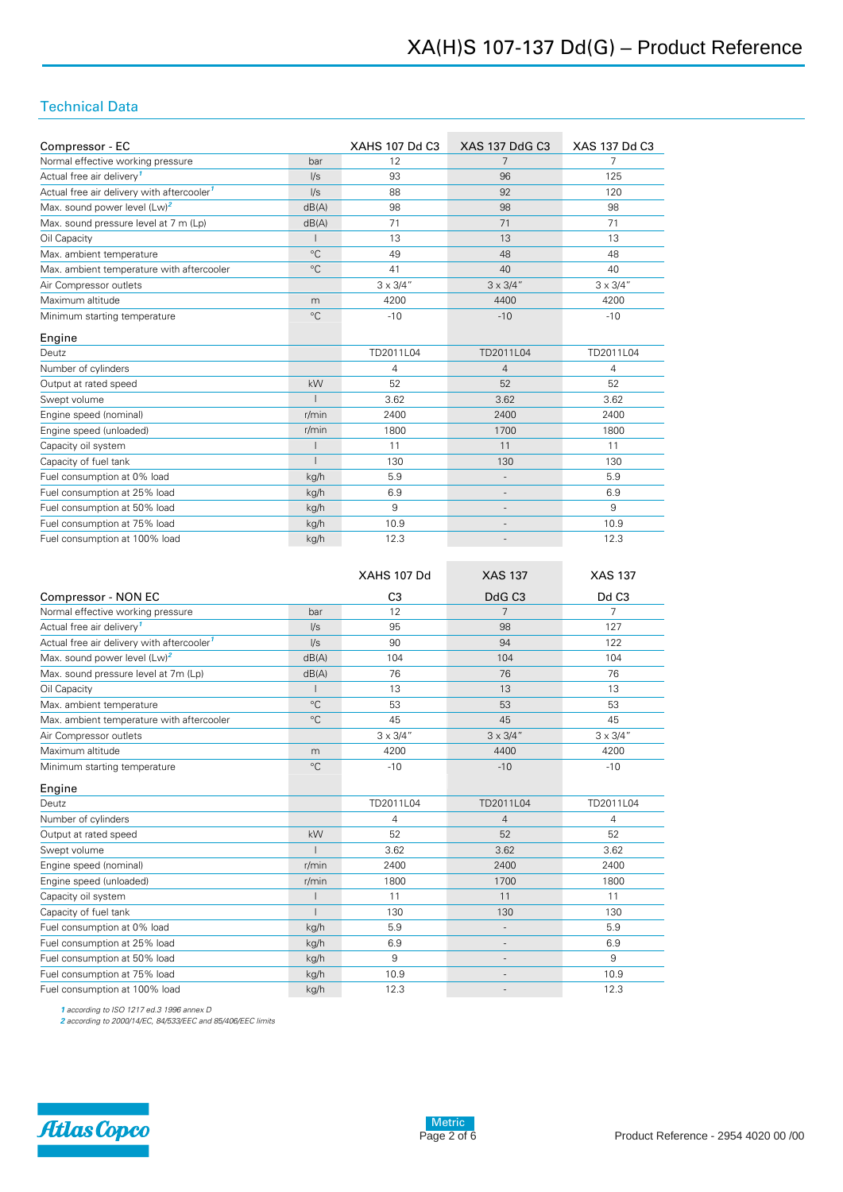## Technical Data

| Compressor - EC                                        |             | <b>XAHS 107 Dd C3</b>           | <b>XAS 137 DdG C3</b>        | XAS 137 Dd C3    |
|--------------------------------------------------------|-------------|---------------------------------|------------------------------|------------------|
| Normal effective working pressure                      | bar         | 12                              |                              |                  |
| Actual free air delivery <sup>1</sup>                  | $\sqrt{s}$  | 93                              | 96                           | 125              |
| Actual free air delivery with aftercooler <sup>1</sup> | $\sqrt{s}$  | 88                              | 92                           | 120              |
| Max. sound power level (Lw) <sup>2</sup>               | dB(A)       | 98                              | 98                           | 98               |
| Max. sound pressure level at 7 m (Lp)                  | dB(A)       | 71                              | 71                           | 71               |
| Oil Capacity                                           |             | 13                              | 13                           | 13               |
| Max. ambient temperature                               | $^{\circ}C$ | 49                              | 48                           | 48               |
| Max, ambient temperature with aftercooler              | $^{\circ}C$ | 41                              | 40                           | 40               |
| Air Compressor outlets                                 |             | $3 \times 3/4$ "                | $3 \times 3/4$ "             | $3 \times 3/4$ " |
| Maximum altitude                                       | m           | 4200                            | 4400                         | 4200             |
| Minimum starting temperature                           | $^{\circ}C$ | $-10$                           | $-10$                        | $-10$            |
| Engine                                                 |             |                                 |                              |                  |
| Deutz                                                  |             | TD2011L04                       | TD2011L04                    | TD2011L04        |
| Number of cylinders                                    |             | 4                               | $\overline{4}$               | 4                |
| Output at rated speed                                  | kW          | 52                              | 52                           | 52               |
| Swept volume                                           |             | 3.62<br>3.62                    |                              | 3.62             |
| Engine speed (nominal)                                 | r/min       | 2400<br>2400                    |                              | 2400             |
| Engine speed (unloaded)                                | r/min       | 1800<br>1700                    |                              | 1800             |
| Capacity oil system                                    |             | 11<br>11                        |                              | 11               |
| Capacity of fuel tank                                  |             | 130<br>130                      |                              | 130              |
| Fuel consumption at 0% load                            | kg/h        | 5.9                             | $\qquad \qquad \blacksquare$ | 5.9              |
| Fuel consumption at 25% load                           | kg/h        | 6.9<br>$\overline{\phantom{a}}$ |                              | 6.9              |
| Fuel consumption at 50% load                           | kg/h        | 9                               | $\overline{\phantom{a}}$     | 9                |
| Fuel consumption at 75% load                           | kg/h        | 10.9                            |                              | 10.9             |
| Fuel consumption at 100% load                          | kg/h        | 12.3                            |                              | 12.3             |

|                                                        |              | XAHS 107 Dd      | <b>XAS 137</b>               | <b>XAS 137</b>    |
|--------------------------------------------------------|--------------|------------------|------------------------------|-------------------|
| Compressor - NON EC                                    |              | C <sub>3</sub>   | DdG <sub>C3</sub>            | Dd C <sub>3</sub> |
| Normal effective working pressure                      | bar          | 12               | 7                            | 7                 |
| Actual free air delivery <sup>1</sup>                  | $\sqrt{s}$   | 95               | 98                           | 127               |
| Actual free air delivery with aftercooler <sup>1</sup> | $\sqrt{s}$   | 90               | 94                           | 122               |
| Max, sound power level (Lw) <sup>2</sup>               | dB(A)        | 104              | 104                          | 104               |
| Max. sound pressure level at 7m (Lp)                   | dB(A)        | 76               | 76                           | 76                |
| Oil Capacity                                           |              | 13               | 13                           | 13                |
| Max. ambient temperature                               | $^{\circ}C$  | 53               | 53                           | 53                |
| Max. ambient temperature with aftercooler              | $^{\circ}C$  | 45               | 45                           | 45                |
| Air Compressor outlets                                 |              | $3 \times 3/4$ " | $3 \times 3/4$ "             | $3 \times 3/4$ "  |
| Maximum altitude                                       | m            | 4200             | 4400                         | 4200              |
| Minimum starting temperature                           | $^{\circ}$ C | $-10$            | $-10$                        | $-10$             |
| Engine                                                 |              |                  |                              |                   |
| Deutz                                                  |              | TD2011L04        | TD2011L04                    | TD2011L04         |
| Number of cylinders                                    |              | $\overline{4}$   | $\overline{4}$               | $\overline{4}$    |
| Output at rated speed                                  | kW           | 52               | 52                           | 52                |
| Swept volume                                           |              | 3.62             | 3.62                         | 3.62              |
| Engine speed (nominal)                                 | r/min        | 2400             | 2400                         | 2400              |
| Engine speed (unloaded)                                | r/min        | 1800             | 1700                         | 1800              |
| Capacity oil system                                    |              | 11               | 11                           | 11                |
| Capacity of fuel tank                                  |              | 130              | 130                          | 130               |
| Fuel consumption at 0% load                            | kg/h         | 5.9              | $\overline{\phantom{a}}$     | 5.9               |
| Fuel consumption at 25% load                           | kg/h         | 6.9              | $\overline{\phantom{a}}$     | 6.9               |
| Fuel consumption at 50% load                           | kg/h         | 9                | $\qquad \qquad \blacksquare$ | 9                 |
| Fuel consumption at 75% load                           | kg/h         | 10.9             | $\overline{\phantom{a}}$     | 10.9              |
| Fuel consumption at 100% load                          | kg/h         | 12.3             | $\overline{\phantom{a}}$     | 12.3              |

*1 according to ISO 1217 ed.3 1996 annex D*

*2 according to 2000/14/EC, 84/533/EEC and 85/406/EEC limits*

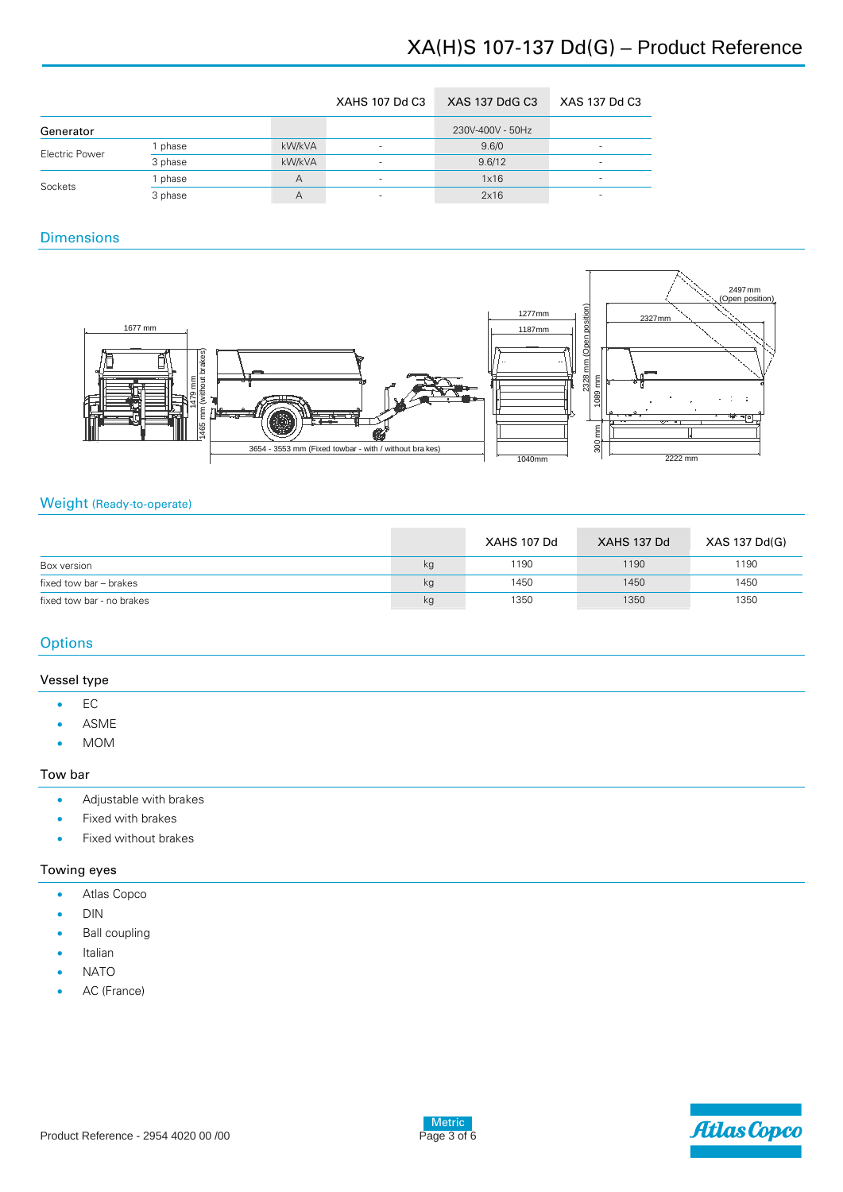# XA(H)S 107-137 Dd(G) – Product Reference

|                |         |        | <b>XAHS 107 Dd C3</b> | XAS 137 DdG C3   | XAS 137 Dd C3 |
|----------------|---------|--------|-----------------------|------------------|---------------|
| Generator      |         |        |                       | 230V-400V - 50Hz |               |
| Electric Power | phase   | kW/kVA |                       | 9.6/0            |               |
|                | 3 phase | kW/kVA |                       | 9.6/12           |               |
| Sockets        | phase   | А      |                       | 1x16             |               |
|                | 3 phase | А      |                       | 2x16             |               |

## **Dimensions**



## Weight (Ready-to-operate)

|                           |    | XAHS 107 Dd | XAHS 137 Dd | XAS 137 Dd(G) |
|---------------------------|----|-------------|-------------|---------------|
| Box version               | kg | 1190        | 1190        | 1190          |
| fixed tow bar – brakes    | kg | 1450        | 1450        | 1450          |
| fixed tow bar - no brakes | kg | 1350        | 1350        | 1350          |

## **Options**

## Vessel type

- $\bullet$  EC
- ASME
- MOM

## Tow bar

- Adjustable with brakes
- Fixed with brakes
- Fixed without brakes

## Towing eyes

- Atlas Copco
- DIN
- Ball coupling
- Italian
- NATO
- AC (France)

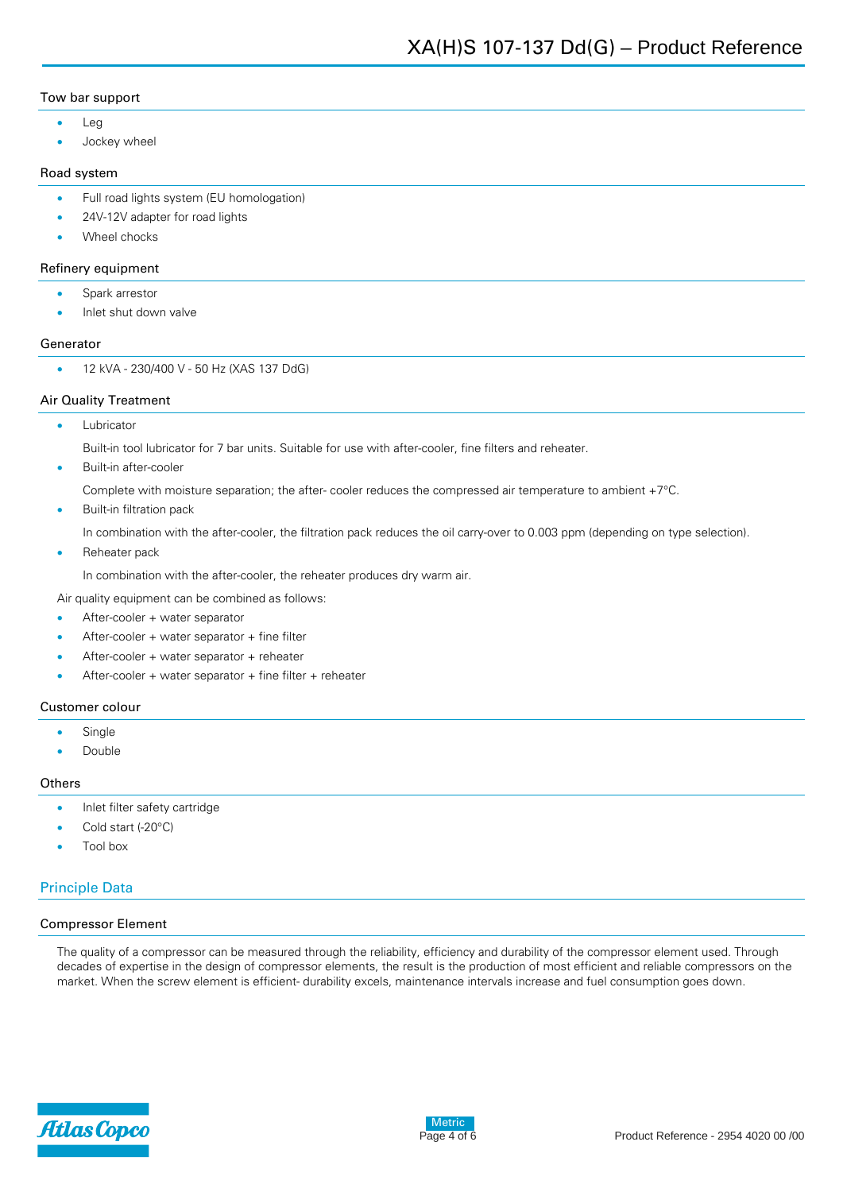## Tow bar support

- Lea
- Jockey wheel

## Road system

- **•** Full road lights system (EU homologation)
- 24V-12V adapter for road lights
- Wheel chocks

## Refinery equipment

- Spark arrestor
- Inlet shut down valve

## Generator

• 12 kVA - 230/400 V - 50 Hz (XAS 137 DdG)

## Air Quality Treatment

Lubricator

Built-in tool lubricator for 7 bar units. Suitable for use with after-cooler, fine filters and reheater.

Built-in after-cooler

Complete with moisture separation; the after- cooler reduces the compressed air temperature to ambient +7°C.

Built-in filtration pack

In combination with the after-cooler, the filtration pack reduces the oil carry-over to 0.003 ppm (depending on type selection).

Reheater pack

In combination with the after-cooler, the reheater produces dry warm air.

Air quality equipment can be combined as follows:

- After-cooler + water separator
- After-cooler + water separator + fine filter
- After-cooler + water separator + reheater
- After-cooler + water separator + fine filter + reheater

## Customer colour

- Single
- Double

#### **Others**

- Inlet filter safety cartridge
- Cold start (-20°C)
- Tool box

## Principle Data

#### Compressor Element

The quality of a compressor can be measured through the reliability, efficiency and durability of the compressor element used. Through decades of expertise in the design of compressor elements, the result is the production of most efficient and reliable compressors on the market. When the screw element is efficient- durability excels, maintenance intervals increase and fuel consumption goes down.

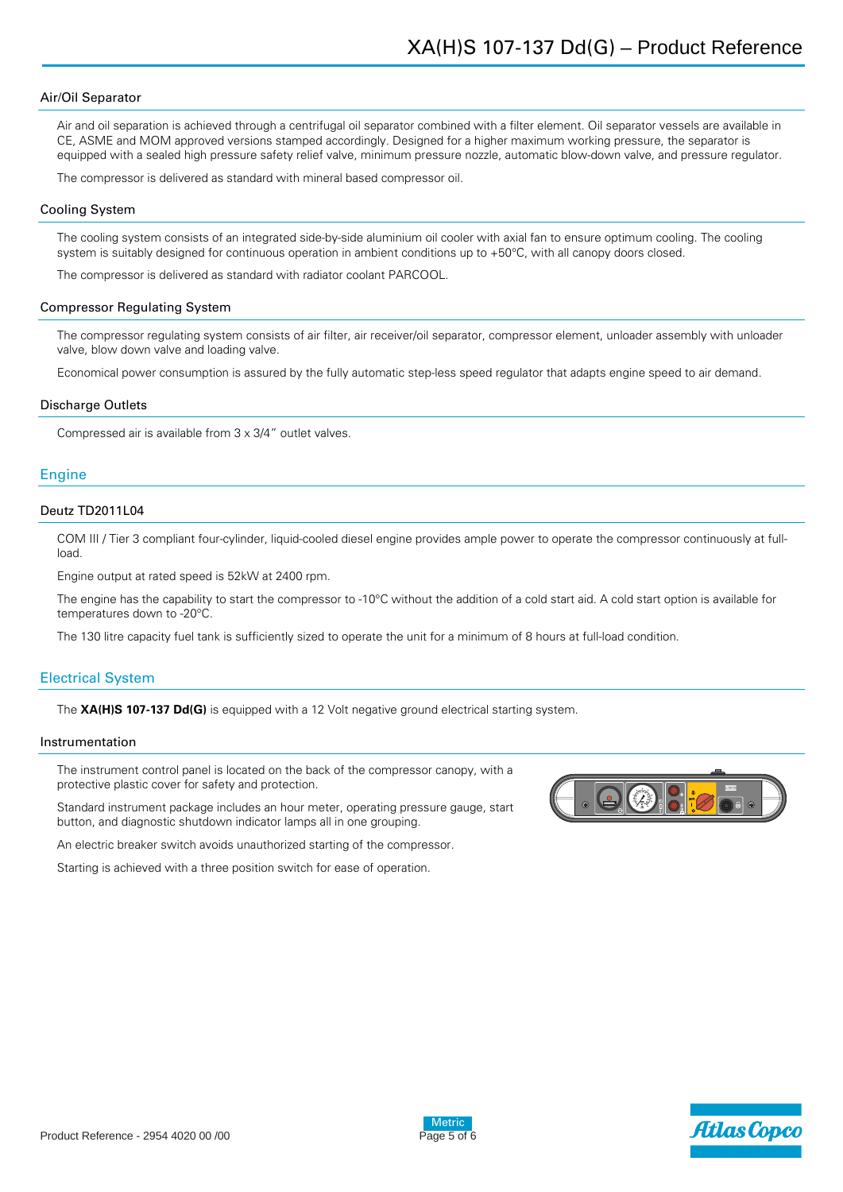#### Air/Oil Separator

Air and oil separation is achieved through a centrifugal oil separator combined with a filter element. Oil separator vessels are available in CE, ASME and MOM approved versions stamped accordingly. Designed for a higher maximum working pressure, the separator is equipped with a sealed high pressure safety relief valve, minimum pressure nozzle, automatic blow-down valve, and pressure regulator.

The compressor is delivered as standard with mineral based compressor oil.

#### Cooling System

The cooling system consists of an integrated side-by-side aluminium oil cooler with axial fan to ensure optimum cooling. The cooling system is suitably designed for continuous operation in ambient conditions up to +50°C, with all canopy doors closed.

The compressor is delivered as standard with radiator coolant PARCOOL.

#### Compressor Regulating System

The compressor regulating system consists of air filter, air receiver/oil separator, compressor element, unloader assembly with unloader valve, blow down valve and loading valve.

Economical power consumption is assured by the fully automatic step-less speed regulator that adapts engine speed to air demand.

#### Discharge Outlets

Compressed air is available from 3 x 3/4" outlet valves.

## **Engine**

## Deutz TD2011L04

COM III / Tier 3 compliant four-cylinder, liquid-cooled diesel engine provides ample power to operate the compressor continuously at fullload.

Engine output at rated speed is 52kW at 2400 rpm.

The engine has the capability to start the compressor to -10°C without the addition of a cold start aid. A cold start option is available for temperatures down to -20°C.

The 130 litre capacity fuel tank is sufficiently sized to operate the unit for a minimum of 8 hours at full-load condition.

#### Electrical System

The **XA(H)S 107-137 Dd(G)** is equipped with a 12 Volt negative ground electrical starting system.

#### Instrumentation

The instrument control panel is located on the back of the compressor canopy, with a protective plastic cover for safety and protection.

Standard instrument package includes an hour meter, operating pressure gauge, start button, and diagnostic shutdown indicator lamps all in one grouping.

An electric breaker switch avoids unauthorized starting of the compressor.

Starting is achieved with a three position switch for ease of operation.